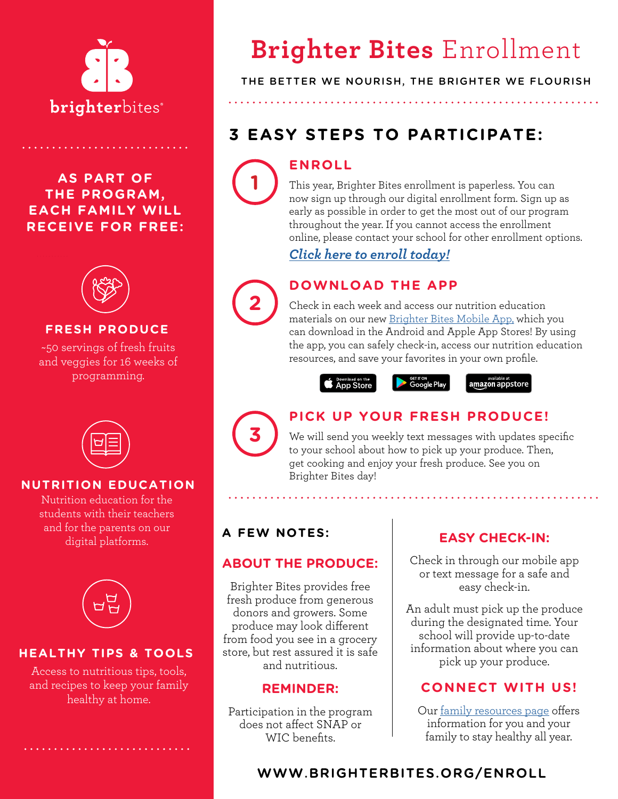

## **AS PART OF THE PROGRAM, EACH FAMILY WILL RECEIVE FOR FREE:**



#### **FRESH PRODUCE**

~50 servings of fresh fruits and veggies for 16 weeks of programming.



#### **NUTRITION EDUCATION**

Nutrition education for the students with their teachers and for the parents on our digital platforms.



#### **HEALTHY TIPS & TOOLS**

Access to nutritious tips, tools, and recipes to keep your family healthy at home.

# **Brighter Bites** Enrollment

#### THE BETTER WE NOURISH, THE BRIGHTER WE FLOURISH

## **3 EASY STEPS TO PARTICIPATE:**

## **ENROLL**

This year, Brighter Bites enrollment is paperless. You can now sign up through our digital enrollment form. Sign up as early as possible in order to get the most out of our program throughout the year. If you cannot access the enrollment online, please contact your school for other enrollment options.

*[Click here to enroll today!](http://www.brighterbites.org/enroll)*

## **DOWNLOAD THE APP**

Check in each week and access our nutrition education materials on our new [Brighter Bites Mobile App](http://brighterbites.org/BBapp), which you can download in the Android and Apple App Stores! By using the app, you can safely check-in, access our nutrition education resources, and save your favorites in your own profile.

**S** App Store

amazon appstore



**1**

**2**

## **PICK UP YOUR FRESH PRODUCE!**

 $\bullet$  Get if one  $\bullet$  Google Play

We will send you weekly text messages with updates specific to your school about how to pick up your produce. Then, get cooking and enjoy your fresh produce. See you on Brighter Bites day!

## **A FEW NOTES:**

#### **ABOUT THE PRODUCE:**

Brighter Bites provides free fresh produce from generous donors and growers. Some produce may look different from food you see in a grocery store, but rest assured it is safe and nutritious.

#### **REMINDER:**

Participation in the program does not affect SNAP or WIC benefits.

## **EASY CHECK-IN:**

Check in through our mobile app or text message for a safe and easy check-in.

An adult must pick up the produce during the designated time. Your school will provide up-to-date information about where you can pick up your produce.

## **CONNECT WITH US!**

Our [family resources page](https://www.brighterbites.org/family-resources/) offers information for you and your family to stay healthy all year.

## [WWW.BRIGHTERBITES.ORG/ENROLL](http://brighterbites.org/enroll)